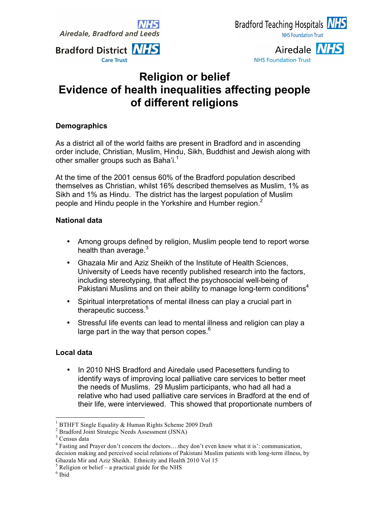**Airedale, Bradford and Leeds** 





Airedale NHS **NHS Foundation Trust** 

## **Religion or belief Evidence of health inequalities affecting people of different religions**

## **Demographics**

As a district all of the world faiths are present in Bradford and in ascending order include, Christian, Muslim, Hindu, Sikh, Buddhist and Jewish along with other smaller groups such as Baha'i.<sup>1</sup>

At the time of the 2001 census 60% of the Bradford population described themselves as Christian, whilst 16% described themselves as Muslim, 1% as Sikh and 1% as Hindu. The district has the largest population of Muslim people and Hindu people in the Yorkshire and Humber region.<sup>2</sup>

## **National data**

- Among groups defined by religion, Muslim people tend to report worse health than average. $3$
- Ghazala Mir and Aziz Sheikh of the Institute of Health Sciences, University of Leeds have recently published research into the factors, including stereotyping, that affect the psychosocial well-being of Pakistani Muslims and on their ability to manage long-term conditions $4$
- Spiritual interpretations of mental illness can play a crucial part in therapeutic success.<sup>5</sup>
- Stressful life events can lead to mental illness and religion can play a large part in the way that person copes. $6$

## **Local data**

In 2010 NHS Bradford and Airedale used Pacesetters funding to identify ways of improving local palliative care services to better meet the needs of Muslims. 29 Muslim participants, who had all had a relative who had used palliative care services in Bradford at the end of their life, were interviewed. This showed that proportionate numbers of

<sup>&</sup>lt;sup>1</sup> BTHFT Single Equality & Human Rights Scheme 2009 Draft <sup>2</sup> Bradford Joint Strategic Needs Assessment (JSNA)

 $^3$  Census data

<sup>4</sup> Fasting and Prayer don't concern the doctors….they don't even know what it is': communication, decision making and perceived social relations of Pakistani Muslim patients with long-term illness, by Ghazala Mir and Aziz Sheikh. Ethnicity and Health 2010 Vol 15<br>  $\frac{5}{15}$  Religion or belief – a practical guide for the NHS<br>  $\frac{6}{15}$  Ibid